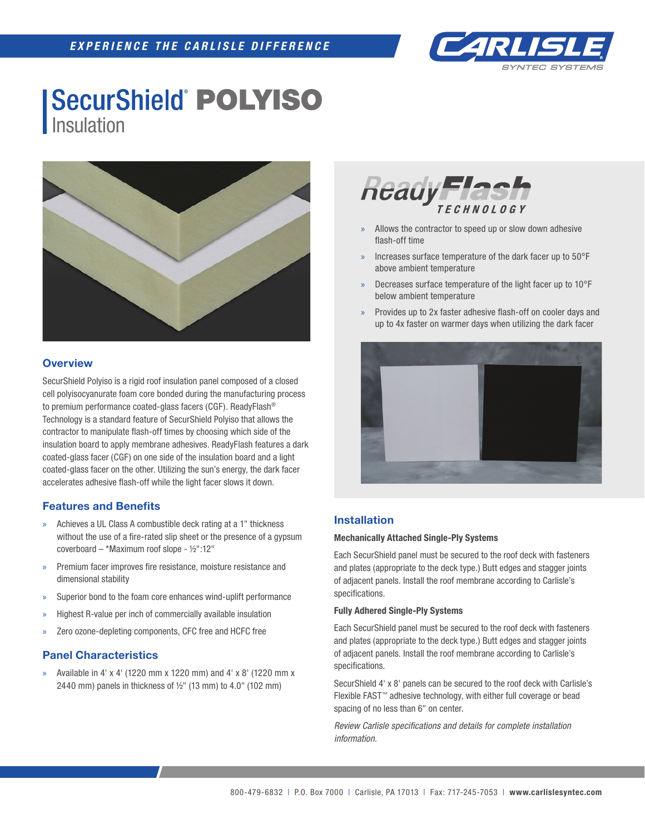

## **SecurShield POLYISO** Insulation



## **Overview**

SecurShield Polyiso is a rigid roof insulation panel composed of a closed cell polyisocyanurate foam core bonded during the manufacturing process to premium performance coated-glass facers (CGF). ReadyFlash® Technology is a standard feature of SecurShield Polyiso that allows the contractor to manipulate flash-off times by choosing which side of the insulation board to apply membrane adhesives. ReadyFlash features a dark coated-glass facer (CGF) on one side of the insulation board and a light coated-glass facer on the other. Utilizing the sun's energy, the dark facer accelerates adhesive flash-off while the light facer slows it down.

## **Features and Benefits**

- » Achieves a UL Class A combustible deck rating at a 1" thickness without the use of a fire-rated slip sheet or the presence of a gypsum coverboard – \*Maximum roof slope - ½":12"
- » Premium facer improves fire resistance, moisture resistance and dimensional stability
- Superior bond to the foam core enhances wind-uplift performance
- » Highest R-value per inch of commercially available insulation
- » Zero ozone-depleting components, CFC free and HCFC free

## **Panel Characteristics**

» Available in 4' x 4' (1220 mm x 1220 mm) and 4' x 8' (1220 mm x 2440 mm) panels in thickness of  $\frac{1}{2}$ " (13 mm) to 4.0" (102 mm)



- » Allows the contractor to speed up or slow down adhesive flash-off time
- » Increases surface temperature of the dark facer up to 50°F above ambient temperature
- » Decreases surface temperature of the light facer up to 10°F below ambient temperature
- » Provides up to 2x faster adhesive flash-off on cooler days and up to 4x faster on warmer days when utilizing the dark facer



## **Installation**

#### **Mechanically Attached Single-Ply Systems**

Each SecurShield panel must be secured to the roof deck with fasteners and plates (appropriate to the deck type.) Butt edges and stagger joints of adjacent panels. Install the roof membrane according to Carlisle's specifications.

#### **Fully Adhered Single-Ply Systems**

Each SecurShield panel must be secured to the roof deck with fasteners and plates (appropriate to the deck type.) Butt edges and stagger joints of adjacent panels. Install the roof membrane according to Carlisle's specifications.

SecurShield 4' x 8' panels can be secured to the roof deck with Carlisle's Flexible FAST™ adhesive technology, with either full coverage or bead spacing of no less than 6" on center.

*Review Carlisle specifications and details for complete installation information.*